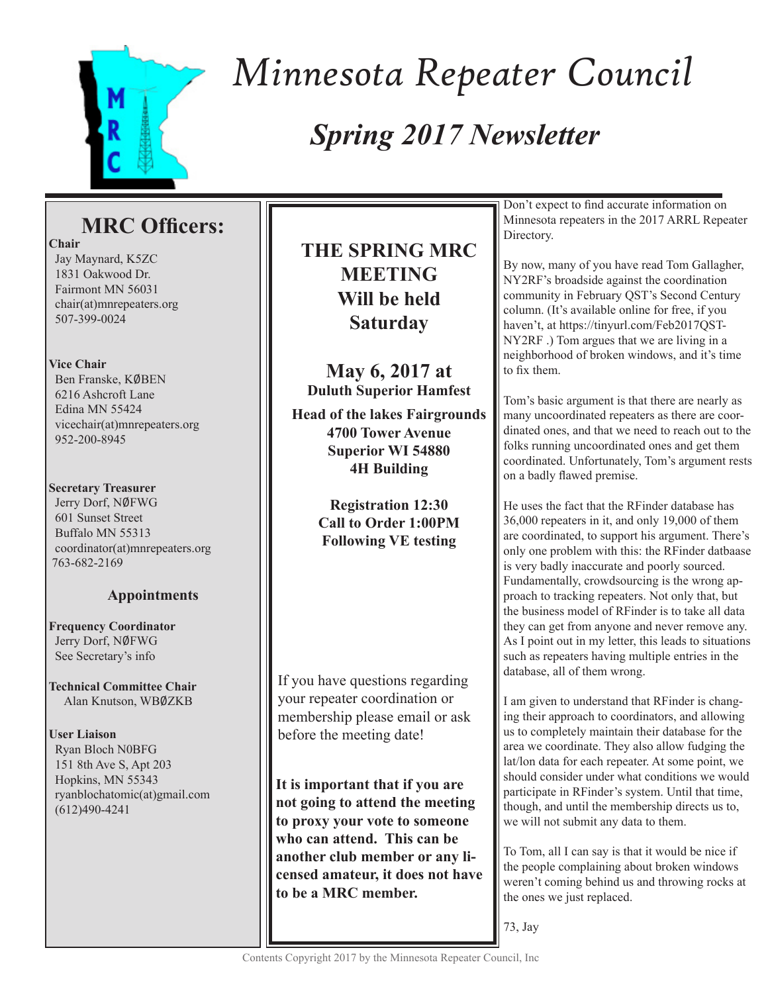

# *Minnesota Repeater Council*

### *Spring 2017 Newsletter*

### **MRC Officers:**

**Chair** Jay Maynard, K5ZC 1831 Oakwood Dr. Fairmont MN 56031 chair(at)mnrepeaters.org

### **Vice Chair**

507-399-0024

Ben Franske, KØBEN 6216 Ashcroft Lane Edina MN 55424 vicechair(at)mnrepeaters.org 952-200-8945

#### **Secretary Treasurer**

Jerry Dorf, NØFWG 601 Sunset Street Buffalo MN 55313 coordinator(at)mnrepeaters.org 763-682-2169

### **Appointments**

**Frequency Coordinator** Jerry Dorf, NØFWG See Secretary's info

**Technical Committee Chair** Alan Knutson, WB0ZKB

**User Liaison** Ryan Bloch N0BFG 151 8th Ave S, Apt 203 Hopkins, MN 55343 ryanblochatomic(at)gmail.com (612)490-4241

### **THE SPRING MRC MEETING Will be held Saturday**

**May 6, 2017 at Duluth Superior Hamfest Head of the lakes Fairgrounds 4700 Tower Avenue Superior WI 54880 4H Building**

> **Registration 12:30 Call to Order 1:00PM Following VE testing**

If you have questions regarding your repeater coordination or membership please email or ask before the meeting date!

**It is important that if you are not going to attend the meeting to proxy your vote to someone who can attend. This can be another club member or any licensed amateur, it does not have to be a MRC member.**

Don't expect to find accurate information on Minnesota repeaters in the 2017 ARRL Repeater Directory.

By now, many of you have read Tom Gallagher, NY2RF's broadside against the coordination community in February QST's Second Century column. (It's available online for free, if you haven't, at https://tinyurl.com/Feb2017QST-NY2RF .) Tom argues that we are living in a neighborhood of broken windows, and it's time to fix them.

Tom's basic argument is that there are nearly as many uncoordinated repeaters as there are coordinated ones, and that we need to reach out to the folks running uncoordinated ones and get them coordinated. Unfortunately, Tom's argument rests on a badly flawed premise.

He uses the fact that the RFinder database has 36,000 repeaters in it, and only 19,000 of them are coordinated, to support his argument. There's only one problem with this: the RFinder datbaase is very badly inaccurate and poorly sourced. Fundamentally, crowdsourcing is the wrong approach to tracking repeaters. Not only that, but the business model of RFinder is to take all data they can get from anyone and never remove any. As I point out in my letter, this leads to situations such as repeaters having multiple entries in the database, all of them wrong.

I am given to understand that RFinder is changing their approach to coordinators, and allowing us to completely maintain their database for the area we coordinate. They also allow fudging the lat/lon data for each repeater. At some point, we should consider under what conditions we would participate in RFinder's system. Until that time, though, and until the membership directs us to, we will not submit any data to them.

To Tom, all I can say is that it would be nice if the people complaining about broken windows weren't coming behind us and throwing rocks at the ones we just replaced.

73, Jay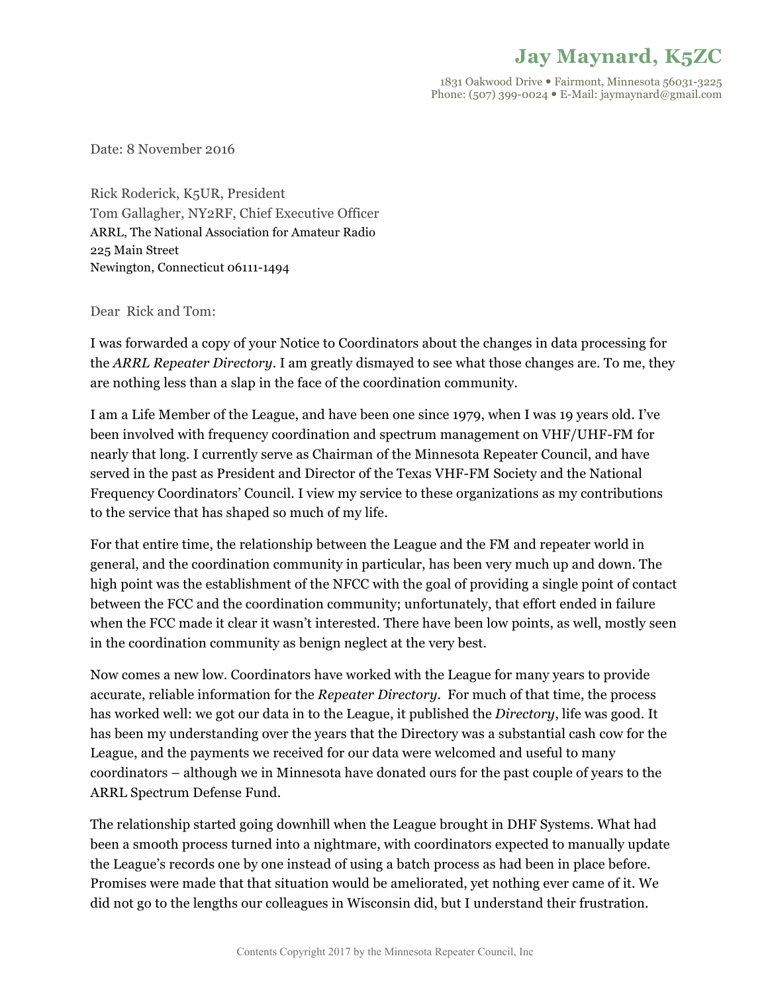### **Jay Maynard, K5ZC**

1831 Oakwood Drive . Fairmont, Minnesota 56031-3225 Phone: (507) 399-0024 · E-Mail: jaymaynard@gmail.com

Date: 8 November 2016

Rick Roderick, K5UR, President Tom Gallagher, NY2RF, Chief Executive Officer ARRL, The National Association for Amateur Radio 225 Main Street Newington, Connecticut 06111-1494

Dear Rick and Tom:

I was forwarded a copy of your Notice to Coordinators about the changes in data processing for the *ARRL Repeater Directory*. I am greatly dismayed to see what those changes are. To me, they are nothing less than a slap in the face of the coordination community.

I am a Life Member of the League, and have been one since 1979, when I was 19 years old. I've been involved with frequency coordination and spectrum management on VHF/UHF-FM for nearly that long. I currently serve as Chairman of the Minnesota Repeater Council, and have served in the past as President and Director of the Texas VHF-FM Society and the National Frequency Coordinators' Council. I view my service to these organizations as my contributions to the service that has shaped so much of my life.

For that entire time, the relationship between the League and the FM and repeater world in general, and the coordination community in particular, has been very much up and down. The high point was the establishment of the NFCC with the goal of providing a single point of contact between the FCC and the coordination community; unfortunately, that effort ended in failure when the FCC made it clear it wasn't interested. There have been low points, as well, mostly seen in the coordination community as benign neglect at the very best.

Now comes a new low. Coordinators have worked with the League for many years to provide accurate, reliable information for the *Repeater Directory*. For much of that time, the process has worked well: we got our data in to the League, it published the *Directory*, life was good. It has been my understanding over the years that the Directory was a substantial cash cow for the League, and the payments we received for our data were welcomed and useful to many coordinators – although we in Minnesota have donated ours for the past couple of years to the ARRL Spectrum Defense Fund.

The relationship started going downhill when the League brought in DHF Systems. What had been a smooth process turned into a nightmare, with coordinators expected to manually update the League's records one by one instead of using a batch process as had been in place before. Promises were made that that situation would be ameliorated, yet nothing ever came of it. We did not go to the lengths our colleagues in Wisconsin did, but I understand their frustration.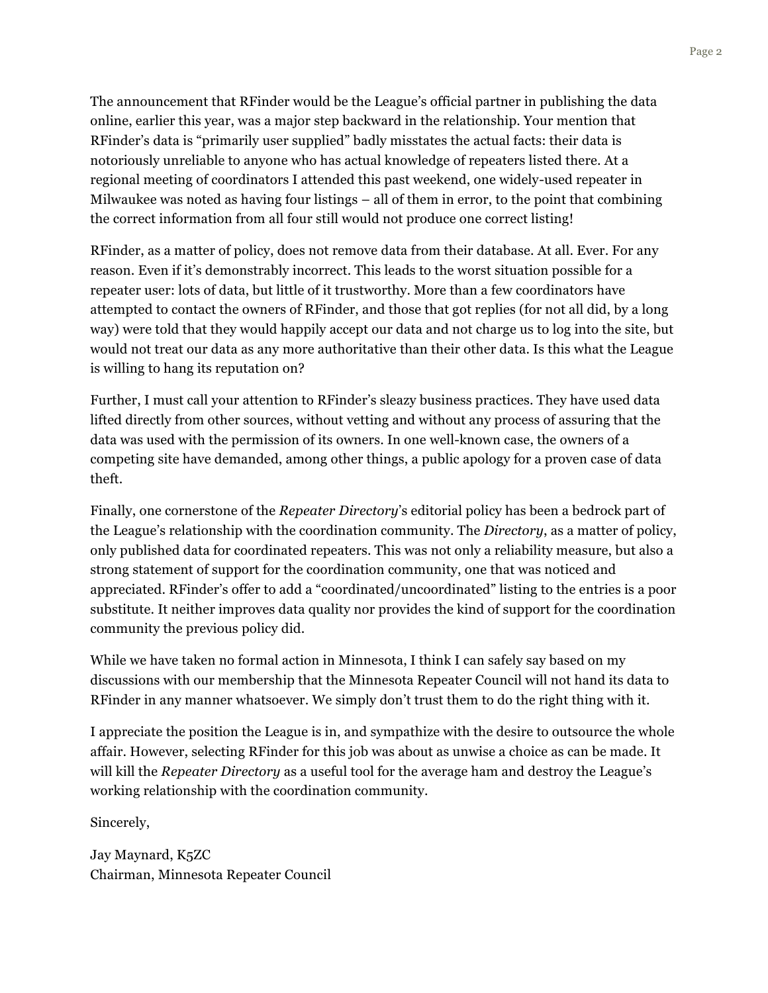The announcement that RFinder would be the League's official partner in publishing the data online, earlier this year, was a major step backward in the relationship. Your mention that RFinder's data is "primarily user supplied" badly misstates the actual facts: their data is notoriously unreliable to anyone who has actual knowledge of repeaters listed there. At a regional meeting of coordinators I attended this past weekend, one widely-used repeater in Milwaukee was noted as having four listings – all of them in error, to the point that combining the correct information from all four still would not produce one correct listing!

RFinder, as a matter of policy, does not remove data from their database. At all. Ever. For any reason. Even if it's demonstrably incorrect. This leads to the worst situation possible for a repeater user: lots of data, but little of it trustworthy. More than a few coordinators have attempted to contact the owners of RFinder, and those that got replies (for not all did, by a long way) were told that they would happily accept our data and not charge us to log into the site, but would not treat our data as any more authoritative than their other data. Is this what the League is willing to hang its reputation on?

Further, I must call your attention to RFinder's sleazy business practices. They have used data lifted directly from other sources, without vetting and without any process of assuring that the data was used with the permission of its owners. In one well-known case, the owners of a competing site have demanded, among other things, a public apology for a proven case of data theft.

Finally, one cornerstone of the *Repeater Directory*'s editorial policy has been a bedrock part of the League's relationship with the coordination community. The *Directory*, as a matter of policy, only published data for coordinated repeaters. This was not only a reliability measure, but also a strong statement of support for the coordination community, one that was noticed and appreciated. RFinder's offer to add a "coordinated/uncoordinated" listing to the entries is a poor substitute. It neither improves data quality nor provides the kind of support for the coordination community the previous policy did.

While we have taken no formal action in Minnesota, I think I can safely say based on my discussions with our membership that the Minnesota Repeater Council will not hand its data to RFinder in any manner whatsoever. We simply don't trust them to do the right thing with it.

I appreciate the position the League is in, and sympathize with the desire to outsource the whole affair. However, selecting RFinder for this job was about as unwise a choice as can be made. It will kill the *Repeater Directory* as a useful tool for the average ham and destroy the League's working relationship with the coordination community.

Sincerely,

Jay Maynard, K5ZC Chairman, Minnesota Repeater Council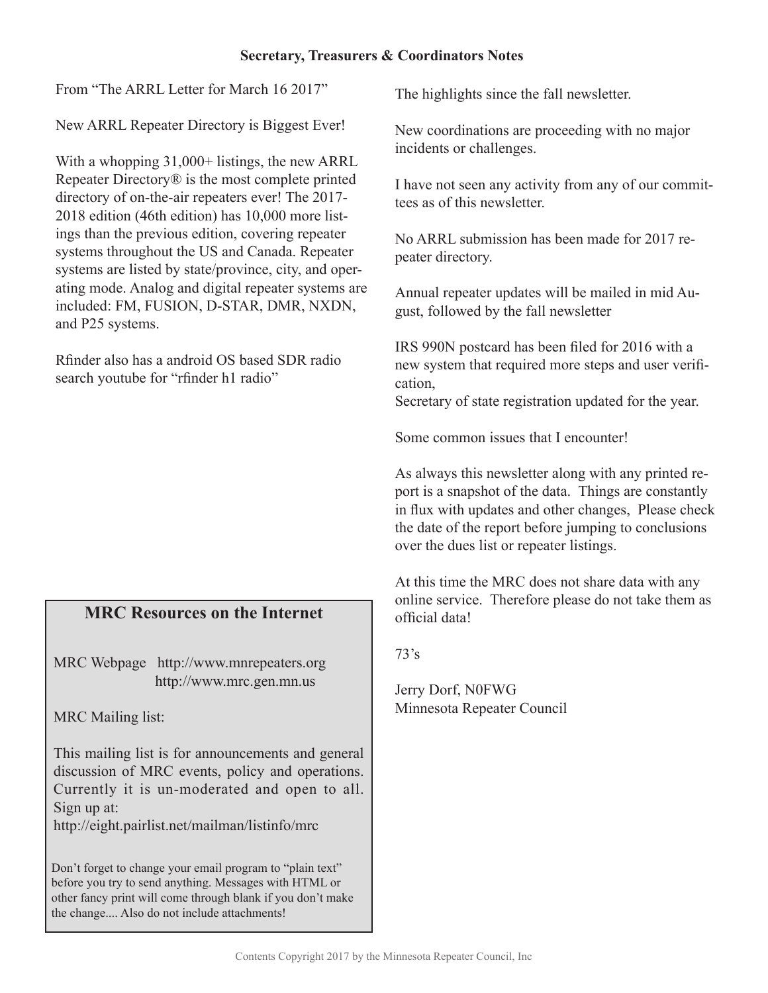### **Secretary, Treasurers & Coordinators Notes**

From "The ARRL Letter for March 16 2017"

New ARRL Repeater Directory is Biggest Ever!

With a whopping 31,000+ listings, the new ARRL Repeater Directory® is the most complete printed directory of on-the-air repeaters ever! The 2017- 2018 edition (46th edition) has 10,000 more listings than the previous edition, covering repeater systems throughout the US and Canada. Repeater systems are listed by state/province, city, and operating mode. Analog and digital repeater systems are included: FM, FUSION, D-STAR, DMR, NXDN, and P25 systems.

Rfinder also has a android OS based SDR radio search youtube for "rfinder h1 radio"

### **MRC Resources on the Internet**

MRC Webpage http://www.mnrepeaters.org http://www.mrc.gen.mn.us

MRC Mailing list:

This mailing list is for announcements and general discussion of MRC events, policy and operations. Currently it is un-moderated and open to all. Sign up at:

http://eight.pairlist.net/mailman/listinfo/mrc

Don't forget to change your email program to "plain text" before you try to send anything. Messages with HTML or other fancy print will come through blank if you don't make the change.... Also do not include attachments!

The highlights since the fall newsletter.

New coordinations are proceeding with no major incidents or challenges.

I have not seen any activity from any of our committees as of this newsletter.

No ARRL submission has been made for 2017 repeater directory.

Annual repeater updates will be mailed in mid August, followed by the fall newsletter

IRS 990N postcard has been filed for 2016 with a new system that required more steps and user verification,

Secretary of state registration updated for the year.

Some common issues that I encounter!

As always this newsletter along with any printed report is a snapshot of the data. Things are constantly in flux with updates and other changes, Please check the date of the report before jumping to conclusions over the dues list or repeater listings.

At this time the MRC does not share data with any online service. Therefore please do not take them as official data!

73's

Jerry Dorf, N0FWG Minnesota Repeater Council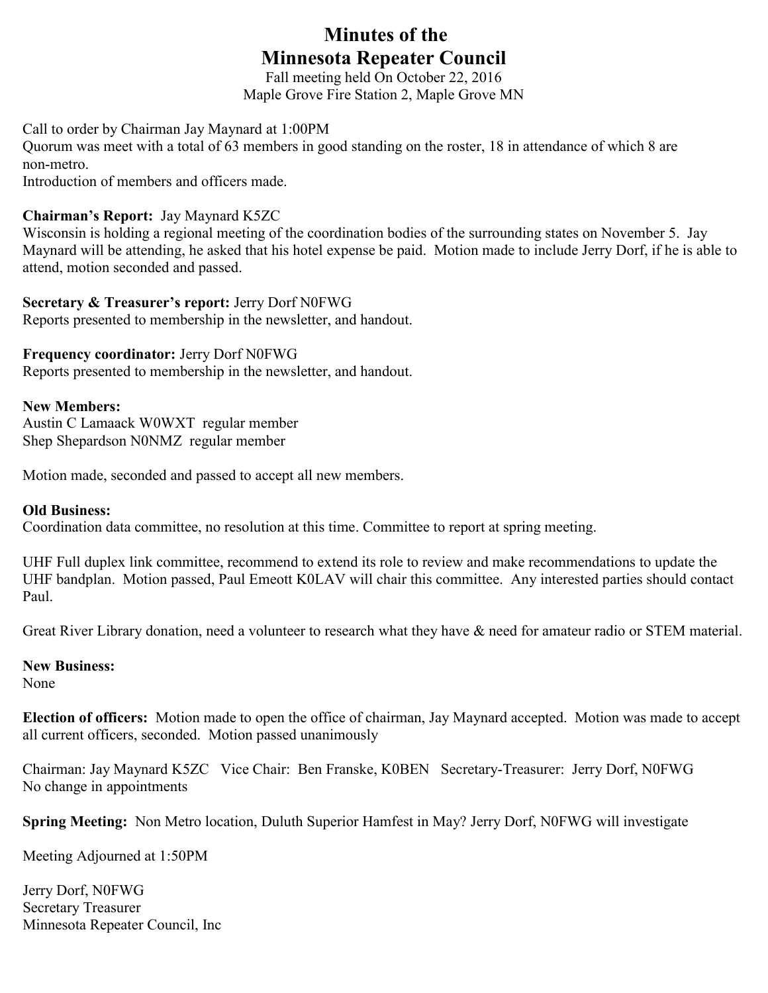### **Minutes of the Minnesota Repeater Council**

Fall meeting held On October 22, 2016 Maple Grove Fire Station 2, Maple Grove MN

Call to order by Chairman Jay Maynard at 1:00PM

Quorum was meet with a total of 63 members in good standing on the roster, 18 in attendance of which 8 are non-metro.

Introduction of members and officers made.

### **Chairman's Report:** Jay Maynard K5ZC

Wisconsin is holding a regional meeting of the coordination bodies of the surrounding states on November 5. Jay Maynard will be attending, he asked that his hotel expense be paid. Motion made to include Jerry Dorf, if he is able to attend, motion seconded and passed.

### **Secretary & Treasurer's report:** Jerry Dorf N0FWG

Reports presented to membership in the newsletter, and handout.

### **Frequency coordinator:** Jerry Dorf N0FWG

Reports presented to membership in the newsletter, and handout.

### **New Members:**

Austin C Lamaack W0WXT regular member Shep Shepardson N0NMZ regular member

Motion made, seconded and passed to accept all new members.

### **Old Business:**

Coordination data committee, no resolution at this time. Committee to report at spring meeting.

UHF Full duplex link committee, recommend to extend its role to review and make recommendations to update the UHF bandplan. Motion passed, Paul Emeott K0LAV will chair this committee. Any interested parties should contact Paul.

Great River Library donation, need a volunteer to research what they have & need for amateur radio or STEM material.

### **New Business:**

None

**Election of officers:** Motion made to open the office of chairman, Jay Maynard accepted. Motion was made to accept all current officers, seconded. Motion passed unanimously

Chairman: Jay Maynard K5ZC Vice Chair: Ben Franske, K0BEN Secretary-Treasurer: Jerry Dorf, N0FWG No change in appointments

**Spring Meeting:** Non Metro location, Duluth Superior Hamfest in May? Jerry Dorf, N0FWG will investigate

Meeting Adjourned at 1:50PM

Jerry Dorf, N0FWG Secretary Treasurer Minnesota Repeater Council, Inc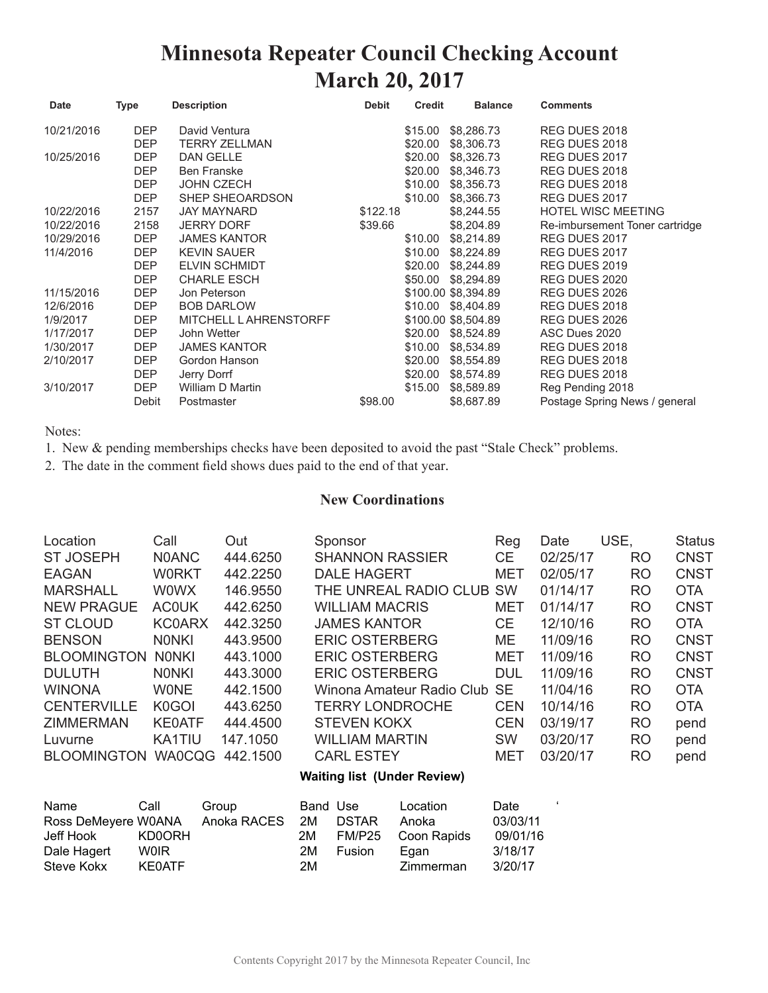### **Minnesota Repeater Council Checking Account March 20, 2017**

| Date       | <b>Type</b> | <b>Description</b>            | <b>Debit</b> | <b>Credit</b> | <b>Balance</b>      | <b>Comments</b>                |
|------------|-------------|-------------------------------|--------------|---------------|---------------------|--------------------------------|
| 10/21/2016 | <b>DEP</b>  | David Ventura                 |              | \$15.00       | \$8,286.73          | REG DUES 2018                  |
|            | <b>DEP</b>  | <b>TERRY ZELLMAN</b>          |              | \$20.00       | \$8,306.73          | REG DUES 2018                  |
| 10/25/2016 | <b>DEP</b>  | <b>DAN GELLE</b>              |              | \$20.00       | \$8,326.73          | REG DUES 2017                  |
|            | <b>DEP</b>  | <b>Ben Franske</b>            |              | \$20.00       | \$8,346.73          | REG DUES 2018                  |
|            | DEP         | <b>JOHN CZECH</b>             |              | \$10.00       | \$8,356.73          | REG DUES 2018                  |
|            | <b>DEP</b>  | SHEP SHEOARDSON               |              | \$10.00       | \$8,366.73          | REG DUES 2017                  |
| 10/22/2016 | 2157        | JAY MAYNARD                   | \$122.18     |               | \$8,244.55          | <b>HOTEL WISC MEETING</b>      |
| 10/22/2016 | 2158        | <b>JERRY DORF</b>             | \$39.66      |               | \$8,204.89          | Re-imbursement Toner cartridge |
| 10/29/2016 | <b>DEP</b>  | <b>JAMES KANTOR</b>           |              | \$10.00       | \$8,214.89          | REG DUES 2017                  |
| 11/4/2016  | DEP         | <b>KEVIN SAUER</b>            |              | \$10.00       | \$8,224.89          | REG DUES 2017                  |
|            | DEP         | <b>ELVIN SCHMIDT</b>          |              | \$20.00       | \$8,244.89          | REG DUES 2019                  |
|            | <b>DEP</b>  | <b>CHARLE ESCH</b>            |              | \$50.00       | \$8,294.89          | REG DUES 2020                  |
| 11/15/2016 | <b>DEP</b>  | Jon Peterson                  |              |               | \$100.00 \$8.394.89 | REG DUES 2026                  |
| 12/6/2016  | <b>DEP</b>  | <b>BOB DARLOW</b>             |              | \$10.00       | \$8,404.89          | REG DUES 2018                  |
| 1/9/2017   | DEP         | <b>MITCHELL L AHRENSTORFF</b> |              |               | \$100.00 \$8,504.89 | REG DUES 2026                  |
| 1/17/2017  | <b>DEP</b>  | John Wetter                   |              | \$20.00       | \$8,524.89          | ASC Dues 2020                  |
| 1/30/2017  | <b>DEP</b>  | <b>JAMES KANTOR</b>           |              | \$10.00       | \$8,534.89          | REG DUES 2018                  |
| 2/10/2017  | <b>DEP</b>  | Gordon Hanson                 |              | \$20.00       | \$8,554.89          | REG DUES 2018                  |
|            | <b>DEP</b>  | Jerry Dorrf                   |              | \$20.00       | \$8,574.89          | REG DUES 2018                  |
| 3/10/2017  | <b>DEP</b>  | William D Martin              |              | \$15.00       | \$8,589.89          | Reg Pending 2018               |
|            | Debit       | Postmaster                    | \$98.00      |               | \$8,687.89          | Postage Spring News / general  |

Notes:

1. New & pending memberships checks have been deposited to avoid the past "Stale Check" problems.

2. The date in the comment field shows dues paid to the end of that year.

#### **New Coordinations**

| Location           | Call               | Out      | Sponsor                   | Reg        | Date     | USE,      | <b>Status</b> |
|--------------------|--------------------|----------|---------------------------|------------|----------|-----------|---------------|
| <b>ST JOSEPH</b>   | <b>N0ANC</b>       | 444.6250 | <b>SHANNON RASSIER</b>    | CE.        | 02/25/17 | RO.       | <b>CNST</b>   |
| <b>EAGAN</b>       | <b>WORKT</b>       | 442.2250 | <b>DALE HAGERT</b>        | <b>MET</b> | 02/05/17 | <b>RO</b> | <b>CNST</b>   |
| <b>MARSHALL</b>    | <b>WOWX</b>        | 146.9550 | THE UNREAL RADIO CLUB     | <b>SW</b>  | 01/14/17 | RO.       | <b>OTA</b>    |
| <b>NEW PRAGUE</b>  | <b>ACOUK</b>       | 442.6250 | WILLIAM MACRIS            | MET        | 01/14/17 | <b>RO</b> | <b>CNST</b>   |
| <b>ST CLOUD</b>    | <b>KC0ARX</b>      | 442,3250 | <b>JAMES KANTOR</b>       | CE.        | 12/10/16 | <b>RO</b> | <b>OTA</b>    |
| <b>BENSON</b>      | <b>NONKI</b>       | 443.9500 | <b>ERIC OSTERBERG</b>     | ME         | 11/09/16 | <b>RO</b> | <b>CNST</b>   |
| <b>BLOOMINGTON</b> | <b>NONKI</b>       | 443.1000 | <b>ERIC OSTERBERG</b>     | <b>MET</b> | 11/09/16 | RO        | <b>CNST</b>   |
| <b>DULUTH</b>      | <b>NONKI</b>       | 443,3000 | <b>ERIC OSTERBERG</b>     | <b>DUL</b> | 11/09/16 | RO.       | <b>CNST</b>   |
| <b>WINONA</b>      | <b>WONE</b>        | 442.1500 | Winona Amateur Radio Club | <b>SE</b>  | 11/04/16 | RO.       | <b>OTA</b>    |
| <b>CENTERVILLE</b> | K <sub>0</sub> GOI | 443.6250 | <b>TERRY LONDROCHE</b>    | <b>CEN</b> | 10/14/16 | RO.       | <b>OTA</b>    |
| <b>ZIMMERMAN</b>   | <b>KE0ATF</b>      | 444.4500 | <b>STEVEN KOKX</b>        | <b>CEN</b> | 03/19/17 | <b>RO</b> | pend          |
| Luvurne            | KA1TIU             | 147.1050 | <b>WILLIAM MARTIN</b>     | <b>SW</b>  | 03/20/17 | <b>RO</b> | pend          |
| <b>BLOOMINGTON</b> | <b>WA0CQG</b>      | 442.1500 | <b>CARL ESTEY</b>         | MET        | 03/20/17 | <b>RO</b> | pend          |
|                    |                    |          |                           |            |          |           |               |

#### **Waiting list (Under Review)**

| Name                | Call        | Group       | Band Use |               | Location    | Date     |  |
|---------------------|-------------|-------------|----------|---------------|-------------|----------|--|
| Ross DeMeyere W0ANA |             | Anoka RACES | 2M       | <b>DSTAR</b>  | Anoka       | 03/03/11 |  |
| Jeff Hook           | KD0ORH      |             | 2M       | FM/P25        | Coon Rapids | 09/01/16 |  |
| Dale Hagert         | <b>WOIR</b> |             | 2M       | <b>Fusion</b> | Egan        | 3/18/17  |  |
| Steve Kokx          | KE0ATF      |             | 2M       |               | Zimmerman   | 3/20/17  |  |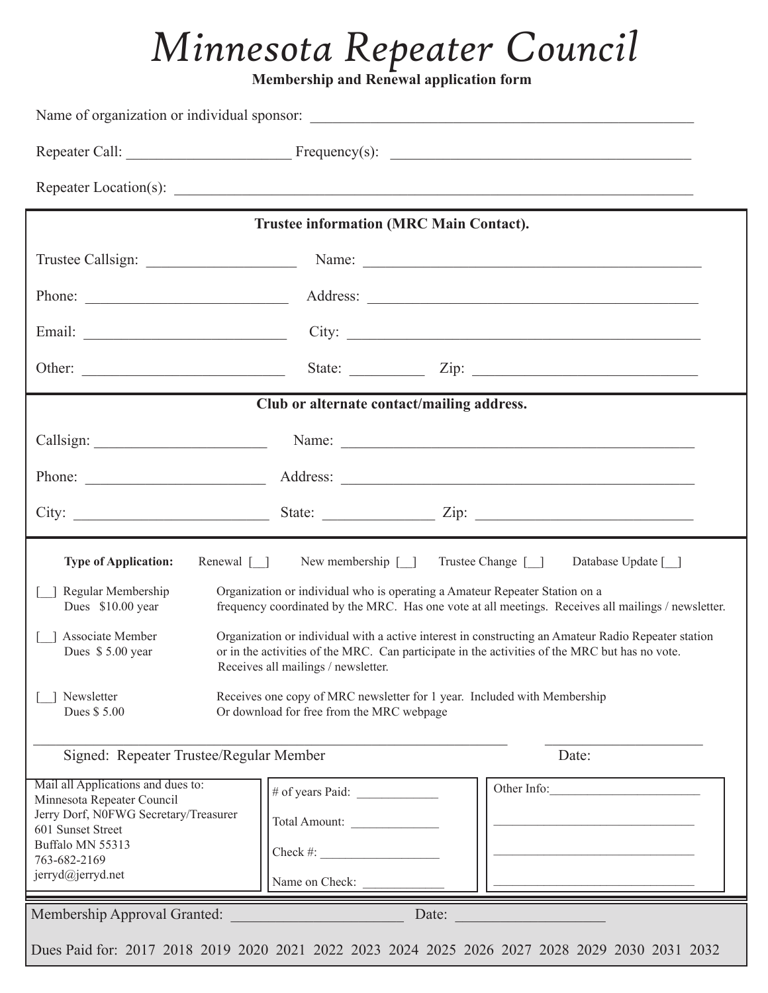## *Minnesota Repeater Council*

**Membership and Renewal application form** 

|                                                                                                                                                                                                                                          | <b>Trustee information (MRC Main Contact).</b>                                                                        |                                                                                                                                                                                                       |
|------------------------------------------------------------------------------------------------------------------------------------------------------------------------------------------------------------------------------------------|-----------------------------------------------------------------------------------------------------------------------|-------------------------------------------------------------------------------------------------------------------------------------------------------------------------------------------------------|
| Trustee Callsign: Name: Name: Name: Name: Name: Name: Name: Name: Name: Name: Name: Name: Name: Name: Name: Name: Name: Name: Name: Name: Name: Name: Name: Name: Name: Name: Name: Name: Name: Name: Name: Name: Name: Name:            |                                                                                                                       |                                                                                                                                                                                                       |
|                                                                                                                                                                                                                                          |                                                                                                                       |                                                                                                                                                                                                       |
| Email: City: City:                                                                                                                                                                                                                       |                                                                                                                       |                                                                                                                                                                                                       |
|                                                                                                                                                                                                                                          |                                                                                                                       | State: <u>Union Zip:</u> Zip:                                                                                                                                                                         |
|                                                                                                                                                                                                                                          | Club or alternate contact/mailing address.                                                                            |                                                                                                                                                                                                       |
|                                                                                                                                                                                                                                          |                                                                                                                       |                                                                                                                                                                                                       |
| Phone: <u>Address:</u> Address: <u>Address:</u> Address: Address: Address: Address: Address: Address: Address: Address: Address: Address: Address: Address: Address: Address: Address: Address: Address: Address: Address: Address: Addr |                                                                                                                       |                                                                                                                                                                                                       |
|                                                                                                                                                                                                                                          |                                                                                                                       |                                                                                                                                                                                                       |
| Renewal $\Box$<br><b>Type of Application:</b>                                                                                                                                                                                            | New membership [ ] Trustee Change [ ]                                                                                 | Database Update [ ]                                                                                                                                                                                   |
| Regular Membership<br>Dues \$10.00 year                                                                                                                                                                                                  | Organization or individual who is operating a Amateur Repeater Station on a                                           | frequency coordinated by the MRC. Has one vote at all meetings. Receives all mailings / newsletter.                                                                                                   |
| Associate Member<br>Dues \$5.00 year                                                                                                                                                                                                     | Receives all mailings / newsletter.                                                                                   | Organization or individual with a active interest in constructing an Amateur Radio Repeater station<br>or in the activities of the MRC. Can participate in the activities of the MRC but has no vote. |
| Newsletter<br>Dues \$5.00                                                                                                                                                                                                                | Receives one copy of MRC newsletter for 1 year. Included with Membership<br>Or download for free from the MRC webpage |                                                                                                                                                                                                       |
| Signed: Repeater Trustee/Regular Member                                                                                                                                                                                                  |                                                                                                                       | Date:                                                                                                                                                                                                 |
| Mail all Applications and dues to:<br>Minnesota Repeater Council<br>Jerry Dorf, N0FWG Secretary/Treasurer<br>601 Sunset Street<br>Buffalo MN 55313                                                                                       | Total Amount:<br>Check #: $\qquad \qquad$                                                                             | Other Info:                                                                                                                                                                                           |
| 763-682-2169<br>jerryd@jerryd.net                                                                                                                                                                                                        | Name on Check:                                                                                                        |                                                                                                                                                                                                       |